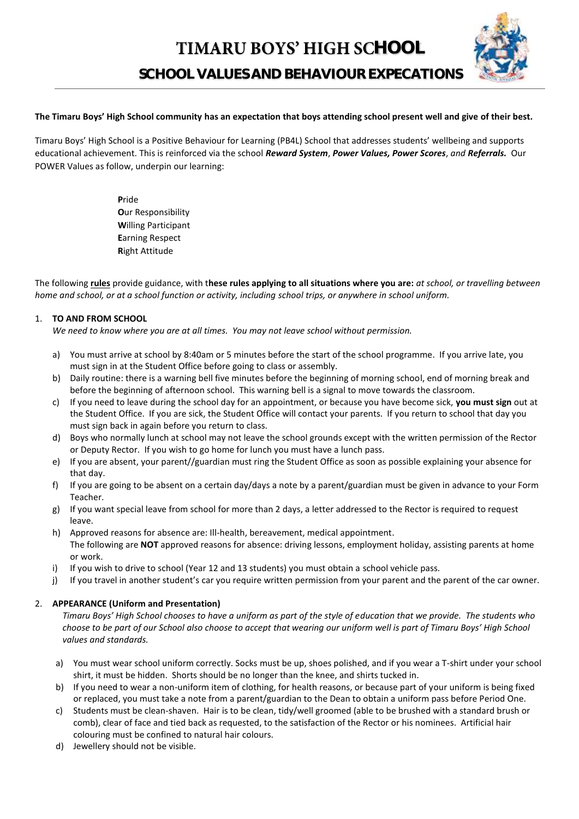# **TIMARU BOYS' HIGH SCHOOL**

**SCHOOL VALUES AND BEHAVIOUR EXPECATIONS**

#### **The Timaru Boys' High School community has an expectation that boys attending school present well and give of their best.**

Timaru Boys' High School is a Positive Behaviour for Learning (PB4L) School that addresses students' wellbeing and supports educational achievement. This is reinforced via the school *Reward System*, *Power Values, Power Scores*, *and Referrals.* Our POWER Values as follow, underpin our learning:

> **P**ride **O**ur Responsibility **W**illing Participant **E**arning Respect **R**ight Attitude

The following **rules** provide guidance, with t**hese rules applying to all situations where you are:** *at school, or travelling between home and school, or at a school function or activity, including school trips, or anywhere in school uniform.*

#### 1. **TO AND FROM SCHOOL**

*We need to know where you are at all times. You may not leave school without permission.*

- a) You must arrive at school by 8:40am or 5 minutes before the start of the school programme. If you arrive late, you must sign in at the Student Office before going to class or assembly.
- b) Daily routine: there is a warning bell five minutes before the beginning of morning school, end of morning break and before the beginning of afternoon school. This warning bell is a signal to move towards the classroom.
- c) If you need to leave during the school day for an appointment, or because you have become sick, **you must sign** out at the Student Office. If you are sick, the Student Office will contact your parents. If you return to school that day you must sign back in again before you return to class.
- d) Boys who normally lunch at school may not leave the school grounds except with the written permission of the Rector or Deputy Rector. If you wish to go home for lunch you must have a lunch pass.
- e) If you are absent, your parent//guardian must ring the Student Office as soon as possible explaining your absence for that day.
- f) If you are going to be absent on a certain day/days a note by a parent/guardian must be given in advance to your Form Teacher.
- g) If you want special leave from school for more than 2 days, a letter addressed to the Rector is required to request leave.
- h) Approved reasons for absence are: Ill-health, bereavement, medical appointment. The following are **NOT** approved reasons for absence: driving lessons, employment holiday, assisting parents at home or work.
- i) If you wish to drive to school (Year 12 and 13 students) you must obtain a school vehicle pass.
- j) If you travel in another student's car you require written permission from your parent and the parent of the car owner.

#### 2. **APPEARANCE (Uniform and Presentation)**

*Timaru Boys' High School chooses to have a uniform as part of the style of education that we provide. The students who choose to be part of our School also choose to accept that wearing our uniform well is part of Timaru Boys' High School values and standards.*

- a) You must wear school uniform correctly. Socks must be up, shoes polished, and if you wear a T-shirt under your school shirt, it must be hidden. Shorts should be no longer than the knee, and shirts tucked in.
- b) If you need to wear a non-uniform item of clothing, for health reasons, or because part of your uniform is being fixed or replaced, you must take a note from a parent/guardian to the Dean to obtain a uniform pass before Period One.
- c) Students must be clean-shaven. Hair is to be clean, tidy/well groomed (able to be brushed with a standard brush or comb), clear of face and tied back as requested, to the satisfaction of the Rector or his nominees. Artificial hair colouring must be confined to natural hair colours.
- d) Jewellery should not be visible.